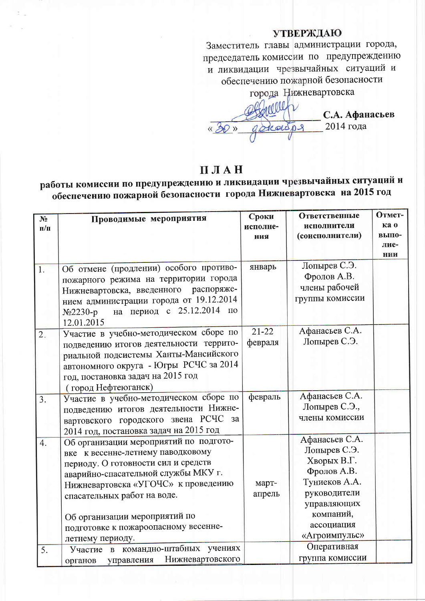## **УТВЕРЖДАЮ**

Заместитель главы администрации города, председатель комиссии по предупреждению и ликвидации чрезвычайных ситуаций и обеспечению пожарной безопасности

города Нижневартовска

0000 С.А. Афанасьев 2014 года

## ПЛАН

работы комиссии по предупреждению и ликвидации чрезвычайных ситуаций и обеспечению пожарной безопасности города Нижневартовска на 2015 год

| N <sub>2</sub><br>$\Pi/\Pi$ | Проводимые мероприятия                                                                                                                                                                                                                                                                                                       | Сроки<br>исполне-<br>ния | Ответственные<br>исполнители<br>(соисполнители)                                                                                                          | OTMET-<br>ка о<br><b>ВЫПО-</b><br>лне-<br>НИИ |
|-----------------------------|------------------------------------------------------------------------------------------------------------------------------------------------------------------------------------------------------------------------------------------------------------------------------------------------------------------------------|--------------------------|----------------------------------------------------------------------------------------------------------------------------------------------------------|-----------------------------------------------|
| 1.                          | Об отмене (продлении) особого противо-<br>пожарного режима на территории города<br>распоряже-<br>Нижневартовска, введенного<br>нием администрации города от 19.12.2014<br>на период с 25.12.2014 по<br>No2230-p<br>12.01.2015                                                                                                | январь                   | Лопырев С.Э.<br>Фролов А.В.<br>члены рабочей<br>группы комиссии                                                                                          |                                               |
| 2.                          | Участие в учебно-методическом сборе по<br>подведению итогов деятельности террито-<br>риальной подсистемы Ханты-Мансийского<br>автономного округа - Югры РСЧС за 2014<br>год, постановка задач на 2015 год<br>(город Нефтеюганск)                                                                                             | $21 - 22$<br>февраля     | Афанасьев С.А.<br>Лопырев С.Э.                                                                                                                           |                                               |
| $\overline{3}$ .            | Участие в учебно-методическом сборе по<br>подведению итогов деятельности Нижне-<br>вартовского городского звена РСЧС за<br>2014 год, постановка задач на 2015 год                                                                                                                                                            | февраль                  | Афанасьев С.А.<br>Лопырев С.Э.,<br>члены комиссии                                                                                                        |                                               |
| 4.                          | Об организации мероприятий по подгото-<br>вке к весенне-летнему паводковому<br>периоду. О готовности сил и средств<br>аварийно-спасательной службы МКУ г.<br>Нижневартовска «УГОЧС» к проведению<br>спасательных работ на воде.<br>Об организации мероприятий по<br>подготовке к пожароопасному весенне-<br>летнему периоду. | март-<br>апрель          | Афанасьев С.А.<br>Лопырев С.Э.<br>Хворых В.Г.<br>Фролов А.В.<br>Туниеков А.А.<br>руководители<br>управляющих<br>компаний,<br>ассоциация<br>«Агроимпульс» |                                               |
| $\overline{5}$ .            | Участие в командно-штабных учениях<br>Нижневартовского<br>управления<br>органов                                                                                                                                                                                                                                              |                          | Оперативная<br>группа комиссии                                                                                                                           |                                               |